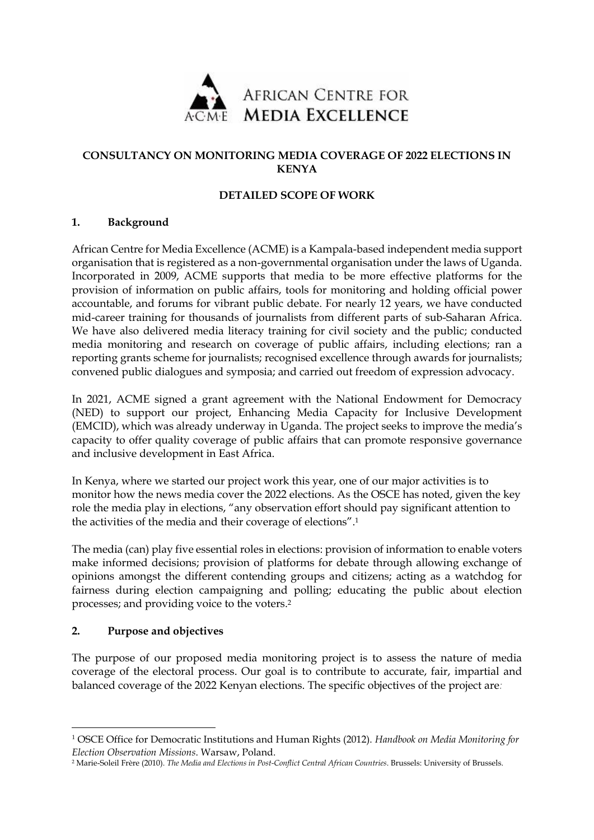

# **CONSULTANCY ON MONITORING MEDIA COVERAGE OF 2022 ELECTIONS IN KENYA**

# **DETAILED SCOPE OF WORK**

### **1. Background**

African Centre for Media Excellence (ACME) is a Kampala-based independent media support organisation that is registered as a non-governmental organisation under the laws of Uganda. Incorporated in 2009, ACME supports that media to be more effective platforms for the provision of information on public affairs, tools for monitoring and holding official power accountable, and forums for vibrant public debate. For nearly 12 years, we have conducted mid-career training for thousands of journalists from different parts of sub-Saharan Africa. We have also delivered media literacy training for civil society and the public; conducted media monitoring and research on coverage of public affairs, including elections; ran a reporting grants scheme for journalists; recognised excellence through awards for journalists; convened public dialogues and symposia; and carried out freedom of expression advocacy.

In 2021, ACME signed a grant agreement with the National Endowment for Democracy (NED) to support our project, Enhancing Media Capacity for Inclusive Development (EMCID), which was already underway in Uganda. The project seeks to improve the media's capacity to offer quality coverage of public affairs that can promote responsive governance and inclusive development in East Africa.

In Kenya, where we started our project work this year, one of our major activities is to monitor how the news media cover the 2022 elections. As the OSCE has noted, given the key role the media play in elections, "any observation effort should pay significant attention to the activities of the media and their coverage of elections".<sup>1</sup>

The media (can) play five essential roles in elections: provision of information to enable voters make informed decisions; provision of platforms for debate through allowing exchange of opinions amongst the different contending groups and citizens; acting as a watchdog for fairness during election campaigning and polling; educating the public about election processes; and providing voice to the voters.<sup>2</sup>

### **2. Purpose and objectives**

1

The purpose of our proposed media monitoring project is to assess the nature of media coverage of the electoral process. Our goal is to contribute to accurate, fair, impartial and balanced coverage of the 2022 Kenyan elections. The specific objectives of the project are*:*

<sup>1</sup> OSCE Office for Democratic Institutions and Human Rights (2012). *Handbook on Media Monitoring for Election Observation Missions*. Warsaw, Poland.

<sup>2</sup> Marie-Soleil Frère (2010). *The Media and Elections in Post-Conflict Central African Countries*. Brussels: University of Brussels.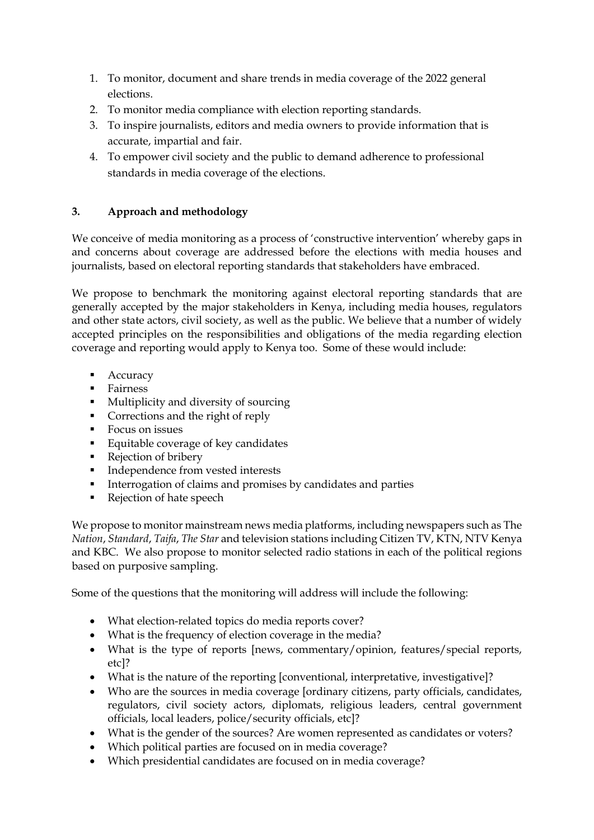- 1. To monitor, document and share trends in media coverage of the 2022 general elections.
- 2. To monitor media compliance with election reporting standards.
- 3. To inspire journalists, editors and media owners to provide information that is accurate, impartial and fair.
- 4. To empower civil society and the public to demand adherence to professional standards in media coverage of the elections.

# **3. Approach and methodology**

We conceive of media monitoring as a process of 'constructive intervention' whereby gaps in and concerns about coverage are addressed before the elections with media houses and journalists, based on electoral reporting standards that stakeholders have embraced.

We propose to benchmark the monitoring against electoral reporting standards that are generally accepted by the major stakeholders in Kenya, including media houses, regulators and other state actors, civil society, as well as the public. We believe that a number of widely accepted principles on the responsibilities and obligations of the media regarding election coverage and reporting would apply to Kenya too. Some of these would include:

- **Accuracy**
- **Fairness**
- **Multiplicity and diversity of sourcing**
- Corrections and the right of reply
- **Focus on issues**
- Equitable coverage of key candidates
- Rejection of bribery
- **Independence from vested interests**
- **Interrogation of claims and promises by candidates and parties**
- Rejection of hate speech

We propose to monitor mainstream news media platforms, including newspapers such as The *Nation*, *Standard*, *Taifa*, *The Star* and television stations including Citizen TV, KTN, NTV Kenya and KBC. We also propose to monitor selected radio stations in each of the political regions based on purposive sampling.

Some of the questions that the monitoring will address will include the following:

- What election-related topics do media reports cover?
- What is the frequency of election coverage in the media?
- What is the type of reports [news, commentary/opinion, features/special reports, etc]?
- What is the nature of the reporting [conventional, interpretative, investigative]?
- Who are the sources in media coverage [ordinary citizens, party officials, candidates, regulators, civil society actors, diplomats, religious leaders, central government officials, local leaders, police/security officials, etc]?
- What is the gender of the sources? Are women represented as candidates or voters?
- Which political parties are focused on in media coverage?
- Which presidential candidates are focused on in media coverage?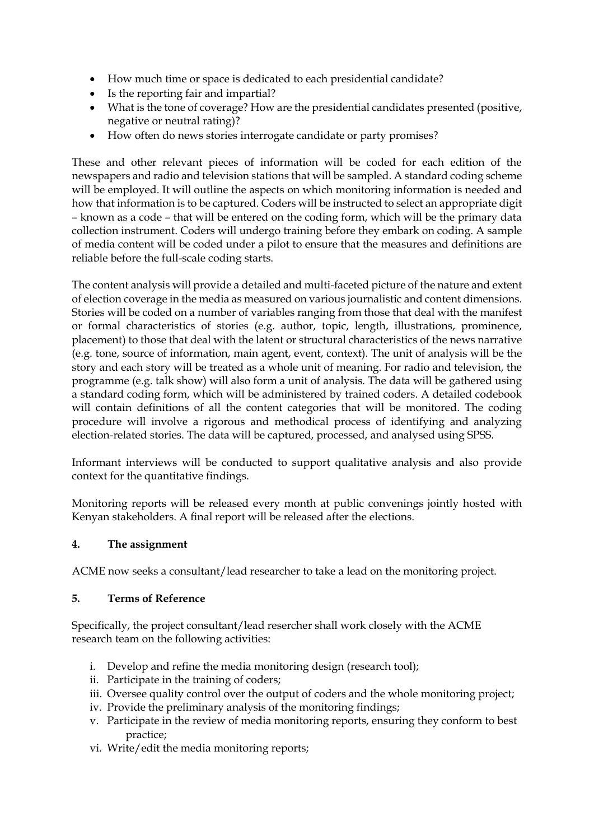- How much time or space is dedicated to each presidential candidate?
- Is the reporting fair and impartial?
- What is the tone of coverage? How are the presidential candidates presented (positive, negative or neutral rating)?
- How often do news stories interrogate candidate or party promises?

These and other relevant pieces of information will be coded for each edition of the newspapers and radio and television stations that will be sampled. A standard coding scheme will be employed. It will outline the aspects on which monitoring information is needed and how that information is to be captured. Coders will be instructed to select an appropriate digit – known as a code – that will be entered on the coding form, which will be the primary data collection instrument. Coders will undergo training before they embark on coding. A sample of media content will be coded under a pilot to ensure that the measures and definitions are reliable before the full-scale coding starts.

The content analysis will provide a detailed and multi-faceted picture of the nature and extent of election coverage in the media as measured on various journalistic and content dimensions. Stories will be coded on a number of variables ranging from those that deal with the manifest or formal characteristics of stories (e.g. author, topic, length, illustrations, prominence, placement) to those that deal with the latent or structural characteristics of the news narrative (e.g. tone, source of information, main agent, event, context). The unit of analysis will be the story and each story will be treated as a whole unit of meaning. For radio and television, the programme (e.g. talk show) will also form a unit of analysis. The data will be gathered using a standard coding form, which will be administered by trained coders. A detailed codebook will contain definitions of all the content categories that will be monitored. The coding procedure will involve a rigorous and methodical process of identifying and analyzing election-related stories. The data will be captured, processed, and analysed using SPSS.

Informant interviews will be conducted to support qualitative analysis and also provide context for the quantitative findings.

Monitoring reports will be released every month at public convenings jointly hosted with Kenyan stakeholders. A final report will be released after the elections.

### **4. The assignment**

ACME now seeks a consultant/lead researcher to take a lead on the monitoring project.

### **5. Terms of Reference**

Specifically, the project consultant/lead resercher shall work closely with the ACME research team on the following activities:

- i. Develop and refine the media monitoring design (research tool);
- ii. Participate in the training of coders;
- iii. Oversee quality control over the output of coders and the whole monitoring project;
- iv. Provide the preliminary analysis of the monitoring findings;
- v. Participate in the review of media monitoring reports, ensuring they conform to best practice;
- vi. Write/edit the media monitoring reports;